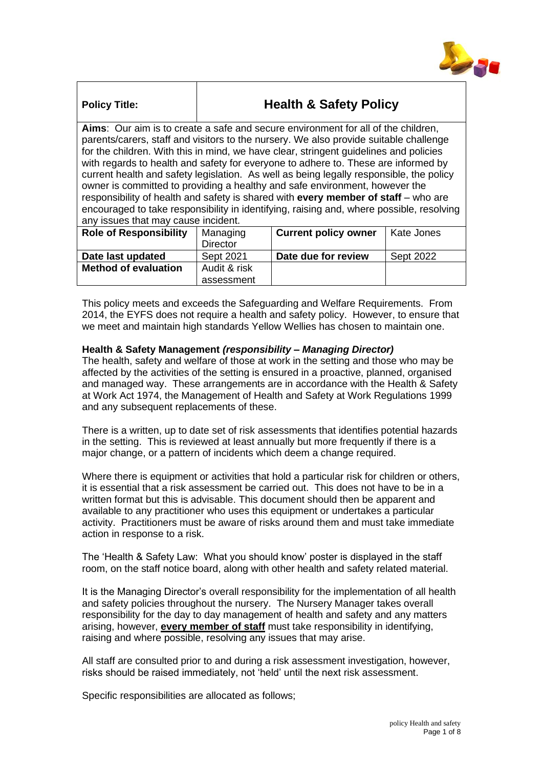

# **Policy Title: Health & Safety Policy**

**Aims**: Our aim is to create a safe and secure environment for all of the children, parents/carers, staff and visitors to the nursery. We also provide suitable challenge for the children. With this in mind, we have clear, stringent guidelines and policies with regards to health and safety for everyone to adhere to. These are informed by current health and safety legislation. As well as being legally responsible, the policy owner is committed to providing a healthy and safe environment, however the responsibility of health and safety is shared with **every member of staff** – who are encouraged to take responsibility in identifying, raising and, where possible, resolving any issues that may cause incident.

| <b>Role of Responsibility</b> | Managing<br><b>Director</b> | <b>Current policy owner</b> | Kate Jones       |
|-------------------------------|-----------------------------|-----------------------------|------------------|
| Date last updated             | Sept 2021                   | Date due for review         | <b>Sept 2022</b> |
| <b>Method of evaluation</b>   | Audit & risk                |                             |                  |
|                               | assessment                  |                             |                  |

This policy meets and exceeds the Safeguarding and Welfare Requirements. From 2014, the EYFS does not require a health and safety policy. However, to ensure that we meet and maintain high standards Yellow Wellies has chosen to maintain one.

# **Health & Safety Management** *(responsibility – Managing Director)*

The health, safety and welfare of those at work in the setting and those who may be affected by the activities of the setting is ensured in a proactive, planned, organised and managed way. These arrangements are in accordance with the Health & Safety at Work Act 1974, the Management of Health and Safety at Work Regulations 1999 and any subsequent replacements of these.

There is a written, up to date set of risk assessments that identifies potential hazards in the setting. This is reviewed at least annually but more frequently if there is a major change, or a pattern of incidents which deem a change required.

Where there is equipment or activities that hold a particular risk for children or others, it is essential that a risk assessment be carried out. This does not have to be in a written format but this is advisable. This document should then be apparent and available to any practitioner who uses this equipment or undertakes a particular activity. Practitioners must be aware of risks around them and must take immediate action in response to a risk.

The 'Health & Safety Law: What you should know' poster is displayed in the staff room, on the staff notice board, along with other health and safety related material.

It is the Managing Director's overall responsibility for the implementation of all health and safety policies throughout the nursery. The Nursery Manager takes overall responsibility for the day to day management of health and safety and any matters arising, however, **every member of staff** must take responsibility in identifying, raising and where possible, resolving any issues that may arise.

All staff are consulted prior to and during a risk assessment investigation, however, risks should be raised immediately, not 'held' until the next risk assessment.

Specific responsibilities are allocated as follows;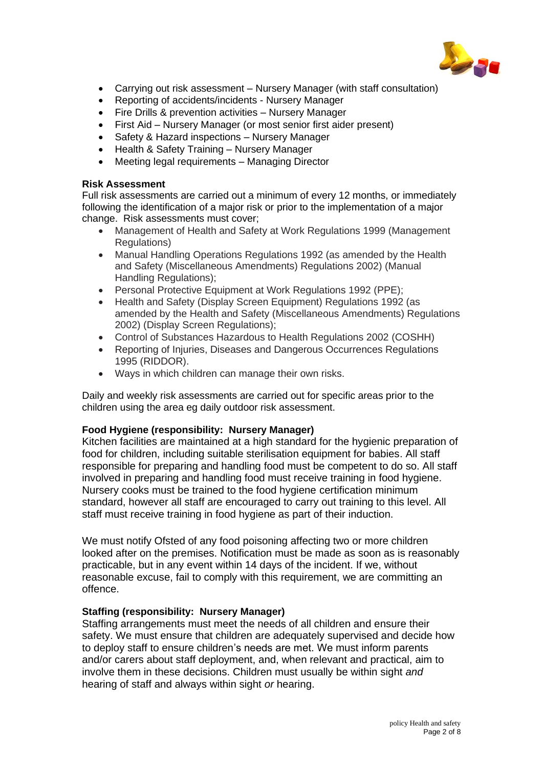

- Carrying out risk assessment Nursery Manager (with staff consultation)
- Reporting of accidents/incidents Nursery Manager
- Fire Drills & prevention activities Nursery Manager
- First Aid Nursery Manager (or most senior first aider present)
- Safety & Hazard inspections Nursery Manager
- Health & Safety Training Nursery Manager
- Meeting legal requirements Managing Director

### **Risk Assessment**

Full risk assessments are carried out a minimum of every 12 months, or immediately following the identification of a major risk or prior to the implementation of a major change. Risk assessments must cover;

- Management of Health and Safety at Work Regulations 1999 (Management Regulations)
- Manual Handling Operations Regulations 1992 (as amended by the Health and Safety (Miscellaneous Amendments) Regulations 2002) (Manual Handling Regulations);
- Personal Protective Equipment at Work Regulations 1992 (PPE);
- Health and Safety (Display Screen Equipment) Regulations 1992 (as amended by the Health and Safety (Miscellaneous Amendments) Regulations 2002) (Display Screen Regulations);
- Control of Substances Hazardous to Health Regulations 2002 (COSHH)
- Reporting of Injuries, Diseases and Dangerous Occurrences Regulations 1995 (RIDDOR).
- Ways in which children can manage their own risks.

Daily and weekly risk assessments are carried out for specific areas prior to the children using the area eg daily outdoor risk assessment.

# **Food Hygiene (responsibility: Nursery Manager)**

Kitchen facilities are maintained at a high standard for the hygienic preparation of food for children, including suitable sterilisation equipment for babies. All staff responsible for preparing and handling food must be competent to do so. All staff involved in preparing and handling food must receive training in food hygiene. Nursery cooks must be trained to the food hygiene certification minimum standard, however all staff are encouraged to carry out training to this level. All staff must receive training in food hygiene as part of their induction.

We must notify Ofsted of any food poisoning affecting two or more children looked after on the premises. Notification must be made as soon as is reasonably practicable, but in any event within 14 days of the incident. If we, without reasonable excuse, fail to comply with this requirement, we are committing an offence.

# **Staffing (responsibility: Nursery Manager)**

Staffing arrangements must meet the needs of all children and ensure their safety. We must ensure that children are adequately supervised and decide how to deploy staff to ensure children's needs are met. We must inform parents and/or carers about staff deployment, and, when relevant and practical, aim to involve them in these decisions. Children must usually be within sight *and*  hearing of staff and always within sight *or* hearing.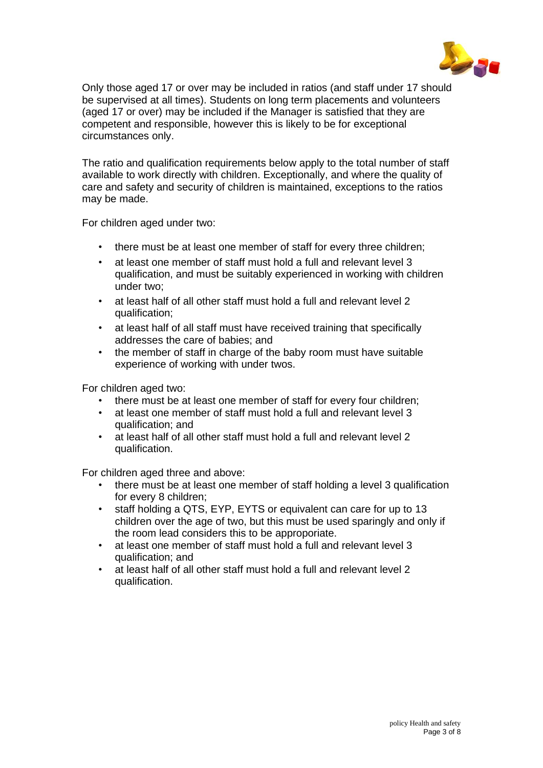

Only those aged 17 or over may be included in ratios (and staff under 17 should be supervised at all times). Students on long term placements and volunteers (aged 17 or over) may be included if the Manager is satisfied that they are competent and responsible, however this is likely to be for exceptional circumstances only.

The ratio and qualification requirements below apply to the total number of staff available to work directly with children. Exceptionally, and where the quality of care and safety and security of children is maintained, exceptions to the ratios may be made.

For children aged under two:

- there must be at least one member of staff for every three children;
- at least one member of staff must hold a full and relevant level 3 qualification, and must be suitably experienced in working with children under two;
- at least half of all other staff must hold a full and relevant level 2 qualification;
- at least half of all staff must have received training that specifically addresses the care of babies; and
- the member of staff in charge of the baby room must have suitable experience of working with under twos.

For children aged two:

- there must be at least one member of staff for every four children;
- at least one member of staff must hold a full and relevant level 3 qualification; and
- at least half of all other staff must hold a full and relevant level 2 qualification.

For children aged three and above:

- there must be at least one member of staff holding a level 3 qualification for every 8 children;
- staff holding a QTS, EYP, EYTS or equivalent can care for up to 13 children over the age of two, but this must be used sparingly and only if the room lead considers this to be approporiate.
- at least one member of staff must hold a full and relevant level 3 qualification; and
- at least half of all other staff must hold a full and relevant level 2 qualification.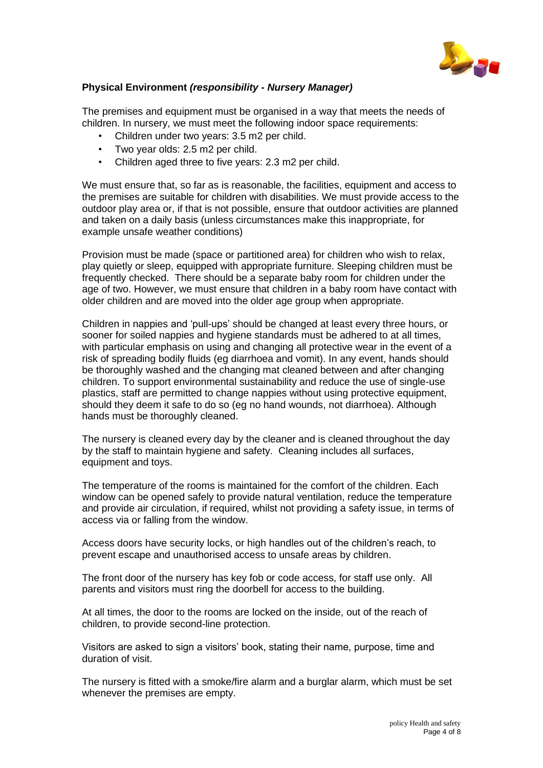

# **Physical Environment** *(responsibility - Nursery Manager)*

The premises and equipment must be organised in a way that meets the needs of children. In nursery, we must meet the following indoor space requirements:

- Children under two years: 3.5 m2 per child.
- Two year olds: 2.5 m2 per child.
- Children aged three to five years: 2.3 m2 per child.

We must ensure that, so far as is reasonable, the facilities, equipment and access to the premises are suitable for children with disabilities. We must provide access to the outdoor play area or, if that is not possible, ensure that outdoor activities are planned and taken on a daily basis (unless circumstances make this inappropriate, for example unsafe weather conditions)

Provision must be made (space or partitioned area) for children who wish to relax, play quietly or sleep, equipped with appropriate furniture. Sleeping children must be frequently checked. There should be a separate baby room for children under the age of two. However, we must ensure that children in a baby room have contact with older children and are moved into the older age group when appropriate.

Children in nappies and 'pull-ups' should be changed at least every three hours, or sooner for soiled nappies and hygiene standards must be adhered to at all times, with particular emphasis on using and changing all protective wear in the event of a risk of spreading bodily fluids (eg diarrhoea and vomit). In any event, hands should be thoroughly washed and the changing mat cleaned between and after changing children. To support environmental sustainability and reduce the use of single-use plastics, staff are permitted to change nappies without using protective equipment, should they deem it safe to do so (eg no hand wounds, not diarrhoea). Although hands must be thoroughly cleaned.

The nursery is cleaned every day by the cleaner and is cleaned throughout the day by the staff to maintain hygiene and safety. Cleaning includes all surfaces, equipment and toys.

The temperature of the rooms is maintained for the comfort of the children. Each window can be opened safely to provide natural ventilation, reduce the temperature and provide air circulation, if required, whilst not providing a safety issue, in terms of access via or falling from the window.

Access doors have security locks, or high handles out of the children's reach, to prevent escape and unauthorised access to unsafe areas by children.

The front door of the nursery has key fob or code access, for staff use only. All parents and visitors must ring the doorbell for access to the building.

At all times, the door to the rooms are locked on the inside, out of the reach of children, to provide second-line protection.

Visitors are asked to sign a visitors' book, stating their name, purpose, time and duration of visit.

The nursery is fitted with a smoke/fire alarm and a burglar alarm, which must be set whenever the premises are empty.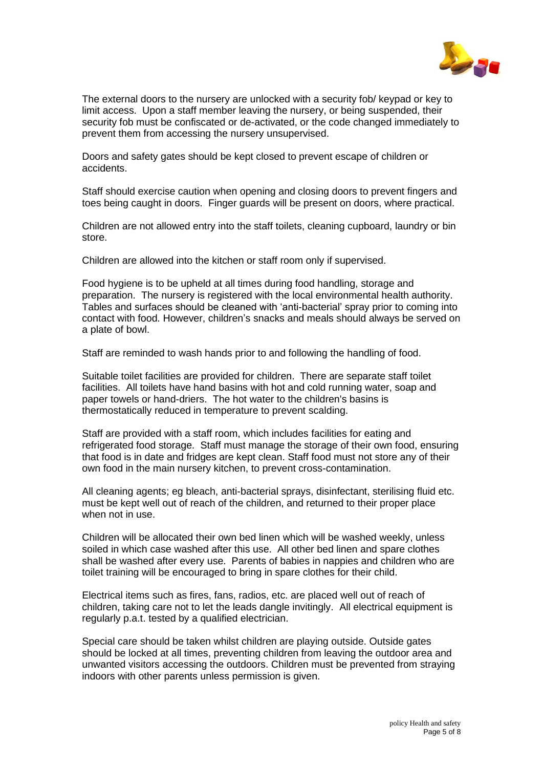

The external doors to the nursery are unlocked with a security fob/ keypad or key to limit access. Upon a staff member leaving the nursery, or being suspended, their security fob must be confiscated or de-activated, or the code changed immediately to prevent them from accessing the nursery unsupervised.

Doors and safety gates should be kept closed to prevent escape of children or accidents.

Staff should exercise caution when opening and closing doors to prevent fingers and toes being caught in doors. Finger guards will be present on doors, where practical.

Children are not allowed entry into the staff toilets, cleaning cupboard, laundry or bin store.

Children are allowed into the kitchen or staff room only if supervised.

Food hygiene is to be upheld at all times during food handling, storage and preparation. The nursery is registered with the local environmental health authority. Tables and surfaces should be cleaned with 'anti-bacterial' spray prior to coming into contact with food. However, children's snacks and meals should always be served on a plate of bowl.

Staff are reminded to wash hands prior to and following the handling of food.

Suitable toilet facilities are provided for children. There are separate staff toilet facilities. All toilets have hand basins with hot and cold running water, soap and paper towels or hand-driers. The hot water to the children's basins is thermostatically reduced in temperature to prevent scalding.

Staff are provided with a staff room, which includes facilities for eating and refrigerated food storage. Staff must manage the storage of their own food, ensuring that food is in date and fridges are kept clean. Staff food must not store any of their own food in the main nursery kitchen, to prevent cross-contamination.

All cleaning agents; eg bleach, anti-bacterial sprays, disinfectant, sterilising fluid etc. must be kept well out of reach of the children, and returned to their proper place when not in use.

Children will be allocated their own bed linen which will be washed weekly, unless soiled in which case washed after this use. All other bed linen and spare clothes shall be washed after every use. Parents of babies in nappies and children who are toilet training will be encouraged to bring in spare clothes for their child.

Electrical items such as fires, fans, radios, etc. are placed well out of reach of children, taking care not to let the leads dangle invitingly. All electrical equipment is regularly p.a.t. tested by a qualified electrician.

Special care should be taken whilst children are playing outside. Outside gates should be locked at all times, preventing children from leaving the outdoor area and unwanted visitors accessing the outdoors. Children must be prevented from straying indoors with other parents unless permission is given.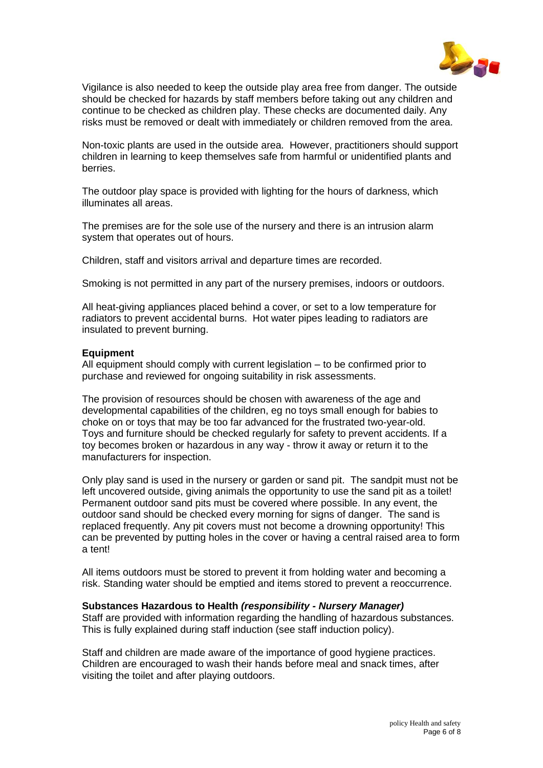

Vigilance is also needed to keep the outside play area free from danger. The outside should be checked for hazards by staff members before taking out any children and continue to be checked as children play. These checks are documented daily. Any risks must be removed or dealt with immediately or children removed from the area.

Non-toxic plants are used in the outside area. However, practitioners should support children in learning to keep themselves safe from harmful or unidentified plants and berries.

The outdoor play space is provided with lighting for the hours of darkness, which illuminates all areas.

The premises are for the sole use of the nursery and there is an intrusion alarm system that operates out of hours.

Children, staff and visitors arrival and departure times are recorded.

Smoking is not permitted in any part of the nursery premises, indoors or outdoors.

All heat-giving appliances placed behind a cover, or set to a low temperature for radiators to prevent accidental burns. Hot water pipes leading to radiators are insulated to prevent burning.

#### **Equipment**

All equipment should comply with current legislation – to be confirmed prior to purchase and reviewed for ongoing suitability in risk assessments.

The provision of resources should be chosen with awareness of the age and developmental capabilities of the children, eg no toys small enough for babies to choke on or toys that may be too far advanced for the frustrated two-year-old. Toys and furniture should be checked regularly for safety to prevent accidents. If a toy becomes broken or hazardous in any way - throw it away or return it to the manufacturers for inspection.

Only play sand is used in the nursery or garden or sand pit. The sandpit must not be left uncovered outside, giving animals the opportunity to use the sand pit as a toilet! Permanent outdoor sand pits must be covered where possible. In any event, the outdoor sand should be checked every morning for signs of danger. The sand is replaced frequently. Any pit covers must not become a drowning opportunity! This can be prevented by putting holes in the cover or having a central raised area to form a tent!

All items outdoors must be stored to prevent it from holding water and becoming a risk. Standing water should be emptied and items stored to prevent a reoccurrence.

#### **Substances Hazardous to Health** *(responsibility - Nursery Manager)*

Staff are provided with information regarding the handling of hazardous substances. This is fully explained during staff induction (see staff induction policy).

Staff and children are made aware of the importance of good hygiene practices. Children are encouraged to wash their hands before meal and snack times, after visiting the toilet and after playing outdoors.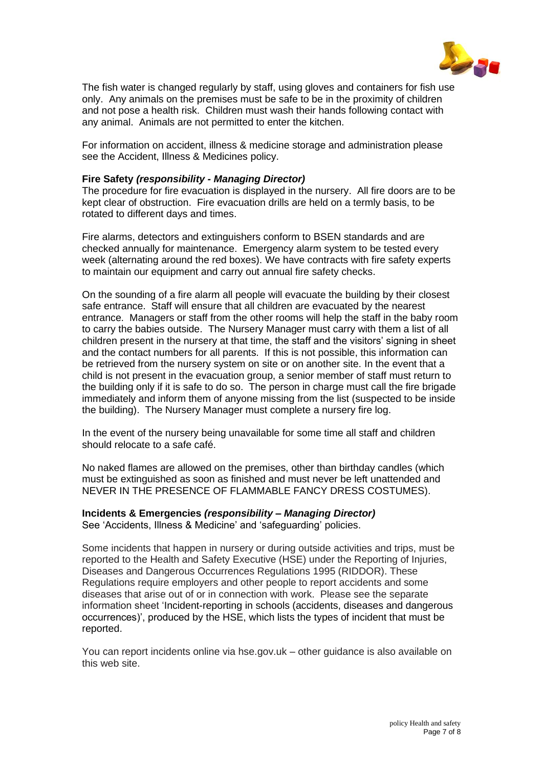

The fish water is changed regularly by staff, using gloves and containers for fish use only. Any animals on the premises must be safe to be in the proximity of children and not pose a health risk. Children must wash their hands following contact with any animal. Animals are not permitted to enter the kitchen.

For information on accident, illness & medicine storage and administration please see the Accident, Illness & Medicines policy.

#### **Fire Safety** *(responsibility - Managing Director)*

The procedure for fire evacuation is displayed in the nursery. All fire doors are to be kept clear of obstruction. Fire evacuation drills are held on a termly basis, to be rotated to different days and times.

Fire alarms, detectors and extinguishers conform to BSEN standards and are checked annually for maintenance. Emergency alarm system to be tested every week (alternating around the red boxes). We have contracts with fire safety experts to maintain our equipment and carry out annual fire safety checks.

On the sounding of a fire alarm all people will evacuate the building by their closest safe entrance. Staff will ensure that all children are evacuated by the nearest entrance. Managers or staff from the other rooms will help the staff in the baby room to carry the babies outside. The Nursery Manager must carry with them a list of all children present in the nursery at that time, the staff and the visitors' signing in sheet and the contact numbers for all parents. If this is not possible, this information can be retrieved from the nursery system on site or on another site. In the event that a child is not present in the evacuation group, a senior member of staff must return to the building only if it is safe to do so. The person in charge must call the fire brigade immediately and inform them of anyone missing from the list (suspected to be inside the building). The Nursery Manager must complete a nursery fire log.

In the event of the nursery being unavailable for some time all staff and children should relocate to a safe café.

No naked flames are allowed on the premises, other than birthday candles (which must be extinguished as soon as finished and must never be left unattended and NEVER IN THE PRESENCE OF FLAMMABLE FANCY DRESS COSTUMES).

#### **Incidents & Emergencies** *(responsibility – Managing Director)* See 'Accidents, Illness & Medicine' and 'safeguarding' policies.

Some incidents that happen in nursery or during outside activities and trips, must be reported to the Health and Safety Executive (HSE) under the Reporting of Injuries, Diseases and Dangerous Occurrences Regulations 1995 (RIDDOR). These Regulations require employers and other people to report accidents and some diseases that arise out of or in connection with work. Please see the separate information sheet 'Incident-reporting in schools (accidents, diseases and dangerous occurrences)', produced by the HSE, which lists the types of incident that must be reported.

You can report incidents online via hse.gov.uk – other guidance is also available on this web site.